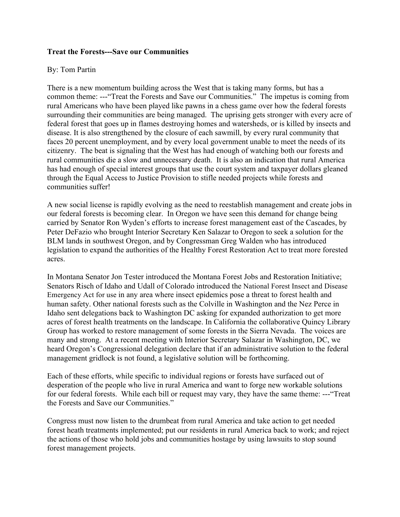## **Treat the Forests---Save our Communities**

## By: Tom Partin

There is a new momentum building across the West that is taking many forms, but has a common theme: ---"Treat the Forests and Save our Communities." The impetus is coming from rural Americans who have been played like pawns in a chess game over how the federal forests surrounding their communities are being managed. The uprising gets stronger with every acre of federal forest that goes up in flames destroying homes and watersheds, or is killed by insects and disease. It is also strengthened by the closure of each sawmill, by every rural community that faces 20 percent unemployment, and by every local government unable to meet the needs of its citizenry. The beat is signaling that the West has had enough of watching both our forests and rural communities die a slow and unnecessary death. It is also an indication that rural America has had enough of special interest groups that use the court system and taxpayer dollars gleaned through the Equal Access to Justice Provision to stifle needed projects while forests and communities suffer!

A new social license is rapidly evolving as the need to reestablish management and create jobs in our federal forests is becoming clear. In Oregon we have seen this demand for change being carried by Senator Ron Wyden's efforts to increase forest management east of the Cascades, by Peter DeFazio who brought Interior Secretary Ken Salazar to Oregon to seek a solution for the BLM lands in southwest Oregon, and by Congressman Greg Walden who has introduced legislation to expand the authorities of the Healthy Forest Restoration Act to treat more forested acres.

In Montana Senator Jon Tester introduced the Montana Forest Jobs and Restoration Initiative; Senators Risch of Idaho and Udall of Colorado introduced the National Forest Insect and Disease Emergency Act for use in any area where insect epidemics pose a threat to forest health and human safety. Other national forests such as the Colville in Washington and the Nez Perce in Idaho sent delegations back to Washington DC asking for expanded authorization to get more acres of forest health treatments on the landscape. In California the collaborative Quincy Library Group has worked to restore management of some forests in the Sierra Nevada. The voices are many and strong. At a recent meeting with Interior Secretary Salazar in Washington, DC, we heard Oregon's Congressional delegation declare that if an administrative solution to the federal management gridlock is not found, a legislative solution will be forthcoming.

Each of these efforts, while specific to individual regions or forests have surfaced out of desperation of the people who live in rural America and want to forge new workable solutions for our federal forests. While each bill or request may vary, they have the same theme: ---"Treat the Forests and Save our Communities."

Congress must now listen to the drumbeat from rural America and take action to get needed forest heath treatments implemented; put our residents in rural America back to work; and reject the actions of those who hold jobs and communities hostage by using lawsuits to stop sound forest management projects.